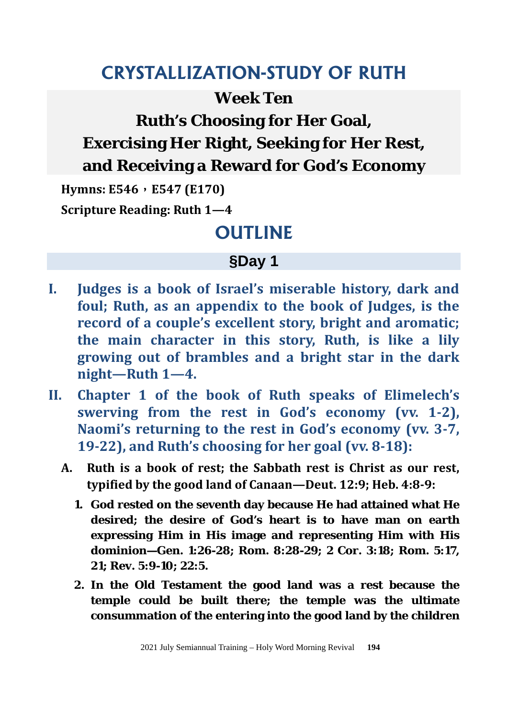# **CRYSTALLIZATION-STUDY OF RUTH**

### **Week Ten**

**Ruth's Choosing for Her Goal,**

**Exercising Her Right, Seeking for Her Rest,**

### **and Receiving a Reward for God's Economy**

**Hymns: E546**,**E547 (E170) Scripture Reading: Ruth 1—4** 

# **OUTLINE**

# **§Day 1**

- **I. Judges is a book of Israel's miserable history, dark and foul; Ruth, as an appendix to the book of Judges, is the record of a couple's excellent story, bright and aromatic; the main character in this story, Ruth, is like a lily growing out of brambles and a bright star in the dark night—Ruth 1—4.**
- **II. Chapter 1 of the book of Ruth speaks of Elimelech's swerving from the rest in God's economy (vv. 1-2), Naomi's returning to the rest in God's economy (vv. 3-7, 19-22), and Ruth's choosing for her goal (vv. 8-18):**
	- **A. Ruth is a book of rest; the Sabbath rest is Christ as our rest, typified by the good land of Canaan—Deut. 12:9; Heb. 4:8-9:** 
		- **1. God rested on the seventh day because He had attained what He desired; the desire of God's heart is to have man on earth expressing Him in His image and representing Him with His dominion—Gen. 1:26-28; Rom. 8:28-29; 2 Cor. 3:18; Rom. 5:17, 21; Rev. 5:9-10; 22:5.**
		- **2. In the Old Testament the good land was a rest because the temple could be built there; the temple was the ultimate consummation of the entering into the good land by the children**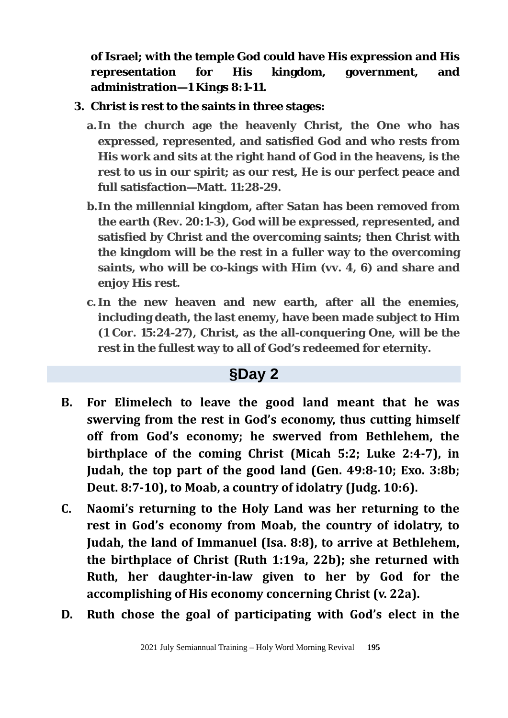**of Israel; with the temple God could have His expression and His representation for His kingdom, government, and administration—1 Kings 8:1-11.**

- **3. Christ is rest to the saints in three stages:**
	- **a.In the church age the heavenly Christ, the One who has expressed, represented, and satisfied God and who rests from His work and sits at the right hand of God in the heavens, is the rest to us in our spirit; as our rest, He is our perfect peace and full satisfaction—Matt. 11:28-29.**
	- **b. In the millennial kingdom, after Satan has been removed from the earth (Rev. 20:1-3), God will be expressed, represented, and satisfied by Christ and the overcoming saints; then Christ with the kingdom will be the rest in a fuller way to the overcoming saints, who will be co-kings with Him (vv. 4, 6) and share and enjoy His rest.**
	- **c. In the new heaven and new earth, after all the enemies, including death, the last enemy, have been made subject to Him (1 Cor. 15:24-27), Christ, as the all-conquering One, will be the rest in the fullest way to all of God's redeemed for eternity.**

#### **§Day 2**

- **B. For Elimelech to leave the good land meant that he was swerving from the rest in God's economy, thus cutting himself off from God's economy; he swerved from Bethlehem, the birthplace of the coming Christ (Micah 5:2; Luke 2:4-7), in Judah, the top part of the good land (Gen. 49:8-10; Exo. 3:8b; Deut. 8:7-10), to Moab, a country of idolatry (Judg. 10:6).**
- **C. Naomi's returning to the Holy Land was her returning to the rest in God's economy from Moab, the country of idolatry, to Judah, the land of Immanuel (Isa. 8:8), to arrive at Bethlehem, the birthplace of Christ (Ruth 1:19a, 22b); she returned with Ruth, her daughter-in-law given to her by God for the accomplishing of His economy concerning Christ (v. 22a).**
- **D. Ruth chose the goal of participating with God's elect in the**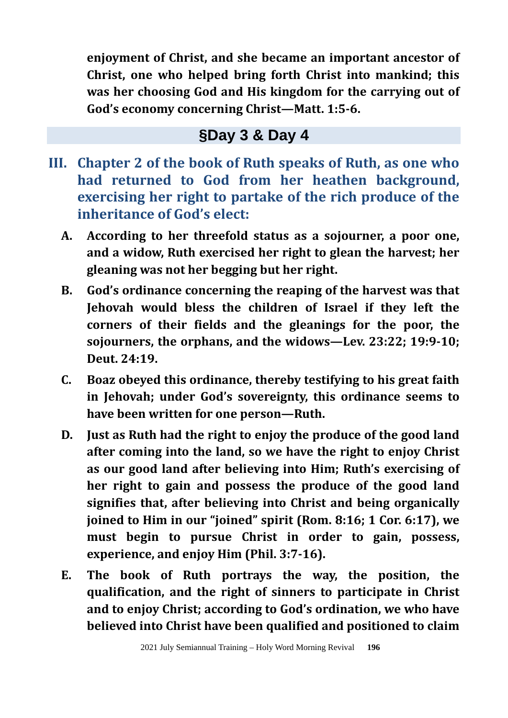**enjoyment of Christ, and she became an important ancestor of Christ, one who helped bring forth Christ into mankind; this was her choosing God and His kingdom for the carrying out of God's economy concerning Christ—Matt. 1:5-6.** 

## **§Day 3 & Day 4**

- **III. Chapter 2 of the book of Ruth speaks of Ruth, as one who had returned to God from her heathen background, exercising her right to partake of the rich produce of the inheritance of God's elect:**
	- **A. According to her threefold status as a sojourner, a poor one, and a widow, Ruth exercised her right to glean the harvest; her gleaning was not her begging but her right.**
	- **B. God's ordinance concerning the reaping of the harvest was that Jehovah would bless the children of Israel if they left the corners of their fields and the gleanings for the poor, the sojourners, the orphans, and the widows—Lev. 23:22; 19:9-10; Deut. 24:19.**
	- **C. Boaz obeyed this ordinance, thereby testifying to his great faith in Jehovah; under God's sovereignty, this ordinance seems to have been written for one person—Ruth.**
	- **D. Just as Ruth had the right to enjoy the produce of the good land after coming into the land, so we have the right to enjoy Christ as our good land after believing into Him; Ruth's exercising of her right to gain and possess the produce of the good land signifies that, after believing into Christ and being organically joined to Him in our "joined" spirit (Rom. 8:16; 1 Cor. 6:17), we must begin to pursue Christ in order to gain, possess, experience, and enjoy Him (Phil. 3:7-16).**
	- **E. The book of Ruth portrays the way, the position, the qualification, and the right of sinners to participate in Christ and to enjoy Christ; according to God's ordination, we who have believed into Christ have been qualified and positioned to claim**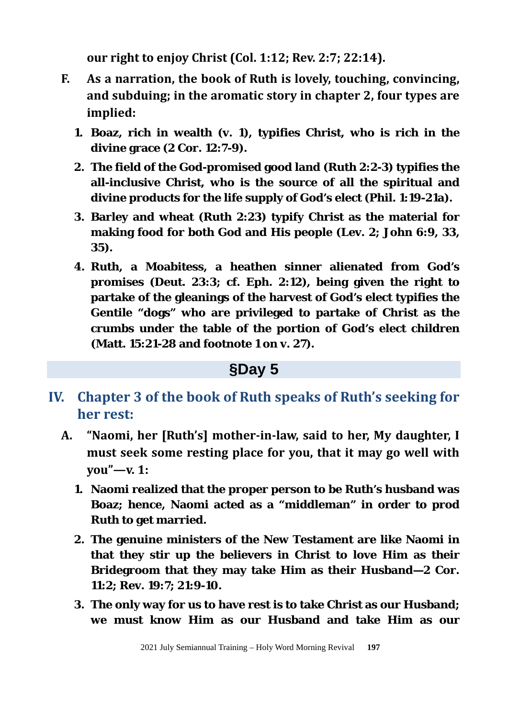**our right to enjoy Christ (Col. 1:12; Rev. 2:7; 22:14).** 

- **F. As a narration, the book of Ruth is lovely, touching, convincing, and subduing; in the aromatic story in chapter 2, four types are implied:**
	- **1. Boaz, rich in wealth (v. 1), typifies Christ, who is rich in the divine grace (2 Cor. 12:7-9).**
	- **2. The field of the God-promised good land (Ruth 2:2-3) typifies the all-inclusive Christ, who is the source of all the spiritual and divine products for the life supply of God's elect (Phil. 1:19-21a).**
	- **3. Barley and wheat (Ruth 2:23) typify Christ as the material for making food for both God and His people (Lev. 2; John 6:9, 33, 35).**
	- **4. Ruth, a Moabitess, a heathen sinner alienated from God's promises (Deut. 23:3; cf. Eph. 2:12), being given the right to partake of the gleanings of the harvest of God's elect typifies the Gentile "dogs" who are privileged to partake of Christ as the crumbs under the table of the portion of God's elect children (Matt. 15:21-28 and footnote 1 on v. 27).**

## **§Day 5**

- **IV. Chapter 3 of the book of Ruth speaks of Ruth's seeking for her rest:**
	- **A. "Naomi, her [Ruth's] mother-in-law, said to her, My daughter, I must seek some resting place for you, that it may go well with you"—v. 1:** 
		- **1. Naomi realized that the proper person to be Ruth's husband was Boaz; hence, Naomi acted as a "middleman" in order to prod Ruth to get married.**
		- **2. The genuine ministers of the New Testament are like Naomi in that they stir up the believers in Christ to love Him as their Bridegroom that they may take Him as their Husband—2 Cor. 11:2; Rev. 19:7; 21:9-10.**
		- **3. The only way for us to have rest is to take Christ as our Husband; we must know Him as our Husband and take Him as our**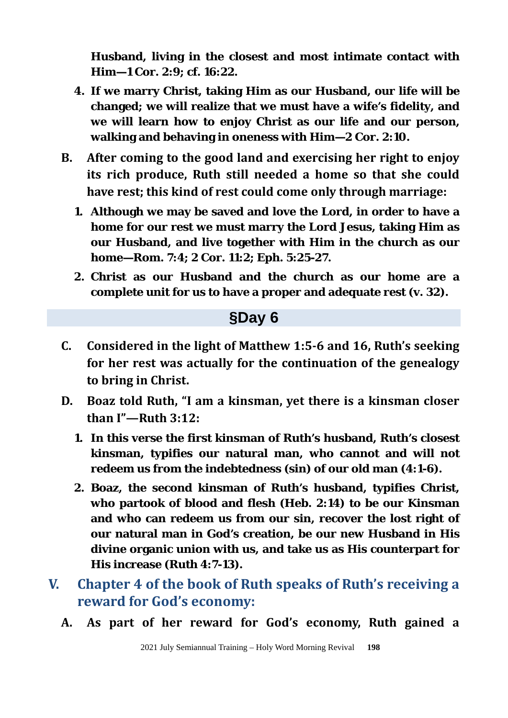**Husband, living in the closest and most intimate contact with Him—1 Cor. 2:9; cf. 16:22.**

- **4. If we marry Christ, taking Him as our Husband, our life will be changed; we will realize that we must have a wife's fidelity, and we will learn how to enjoy Christ as our life and our person, walking and behaving in oneness with Him—2 Cor. 2:10.**
- **B. After coming to the good land and exercising her right to enjoy its rich produce, Ruth still needed a home so that she could have rest; this kind of rest could come only through marriage:**
	- **1. Although we may be saved and love the Lord, in order to have a home for our rest we must marry the Lord Jesus, taking Him as our Husband, and live together with Him in the church as our home—Rom. 7:4; 2 Cor. 11:2; Eph. 5:25-27.**
	- **2. Christ as our Husband and the church as our home are a complete unit for us to have a proper and adequate rest (v. 32).**

#### **§Day 6**

- **C. Considered in the light of Matthew 1:5-6 and 16, Ruth's seeking for her rest was actually for the continuation of the genealogy to bring in Christ.**
- **D. Boaz told Ruth, "I am a kinsman, yet there is a kinsman closer than I"—Ruth 3:12:**
	- **1. In this verse the first kinsman of Ruth's husband, Ruth's closest kinsman, typifies our natural man, who cannot and will not redeem us from the indebtedness (sin) of our old man (4:1-6).**
	- **2. Boaz, the second kinsman of Ruth's husband, typifies Christ, who partook of blood and flesh (Heb. 2:14) to be our Kinsman and who can redeem us from our sin, recover the lost right of our natural man in God's creation, be our new Husband in His divine organic union with us, and take us as His counterpart for His increase (Ruth 4:7-13).**
- **V. Chapter 4 of the book of Ruth speaks of Ruth's receiving a reward for God's economy:** 
	- **A. As part of her reward for God's economy, Ruth gained a**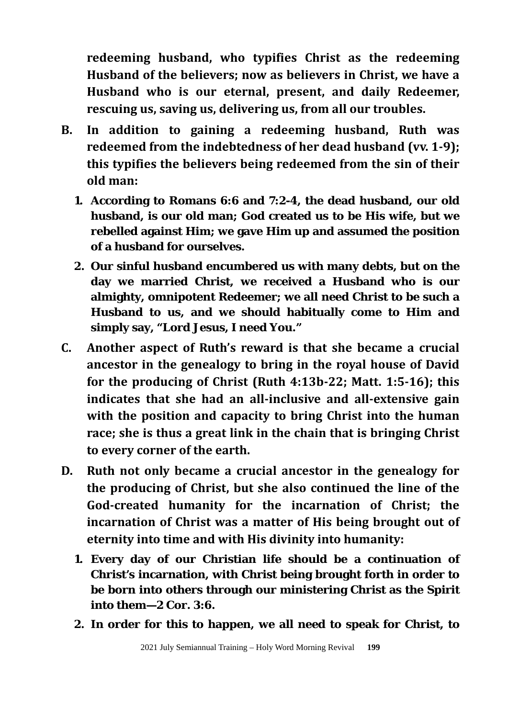**redeeming husband, who typifies Christ as the redeeming Husband of the believers; now as believers in Christ, we have a Husband who is our eternal, present, and daily Redeemer, rescuing us, saving us, delivering us, from all our troubles.**

- **B. In addition to gaining a redeeming husband, Ruth was redeemed from the indebtedness of her dead husband (vv. 1-9); this typifies the believers being redeemed from the sin of their old man:**
	- **1. According to Romans 6:6 and 7:2-4, the dead husband, our old husband, is our old man; God created us to be His wife, but we rebelled against Him; we gave Him up and assumed the position of a husband for ourselves.**
	- **2. Our sinful husband encumbered us with many debts, but on the day we married Christ, we received a Husband who is our almighty, omnipotent Redeemer; we all need Christ to be such a Husband to us, and we should habitually come to Him and simply say, "Lord Jesus, I need You."**
- **C. Another aspect of Ruth's reward is that she became a crucial ancestor in the genealogy to bring in the royal house of David for the producing of Christ (Ruth 4:13b-22; Matt. 1:5-16); this indicates that she had an all-inclusive and all-extensive gain with the position and capacity to bring Christ into the human race; she is thus a great link in the chain that is bringing Christ to every corner of the earth.**
- **D. Ruth not only became a crucial ancestor in the genealogy for the producing of Christ, but she also continued the line of the God-created humanity for the incarnation of Christ; the incarnation of Christ was a matter of His being brought out of eternity into time and with His divinity into humanity:**
	- **1. Every day of our Christian life should be a continuation of Christ's incarnation, with Christ being brought forth in order to be born into others through our ministering Christ as the Spirit into them—2 Cor. 3:6.**
	- **2. In order for this to happen, we all need to speak for Christ, to**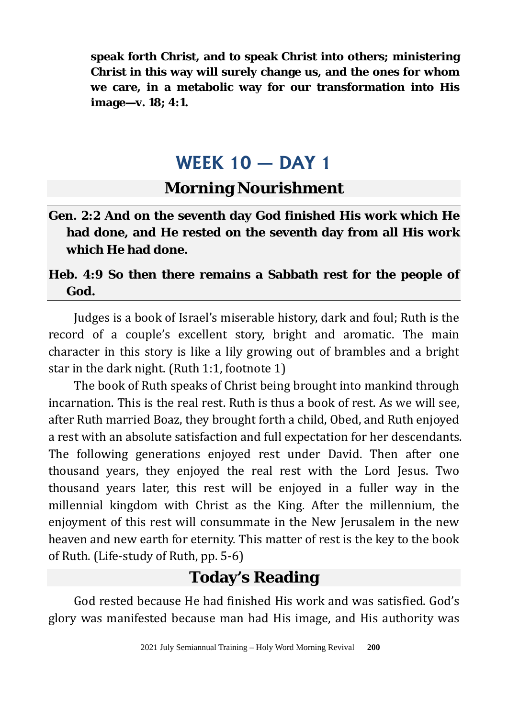**speak forth Christ, and to speak Christ into others; ministering Christ in this way will surely change us, and the ones for whom we care, in a metabolic way for our transformation into His image—v. 18; 4:1.**

# **WEEK 10 — DAY 1**

### **Morning Nourishment**

**Gen. 2:2 And on the seventh day God finished His work which He had done, and He rested on the seventh day from all His work which He had done.**

#### **Heb. 4:9 So then there remains a Sabbath rest for the people of God.**

Judges is a book of Israel's miserable history, dark and foul; Ruth is the record of a couple's excellent story, bright and aromatic. The main character in this story is like a lily growing out of brambles and a bright star in the dark night. (Ruth 1:1, footnote 1)

The book of Ruth speaks of Christ being brought into mankind through incarnation. This is the real rest. Ruth is thus a book of rest. As we will see, after Ruth married Boaz, they brought forth a child, Obed, and Ruth enjoyed a rest with an absolute satisfaction and full expectation for her descendants. The following generations enjoyed rest under David. Then after one thousand years, they enjoyed the real rest with the Lord Jesus. Two thousand years later, this rest will be enjoyed in a fuller way in the millennial kingdom with Christ as the King. After the millennium, the enjoyment of this rest will consummate in the New Jerusalem in the new heaven and new earth for eternity. This matter of rest is the key to the book of Ruth. (Life-study of Ruth, pp. 5-6)

## **Today's Reading**

God rested because He had finished His work and was satisfied. God's glory was manifested because man had His image, and His authority was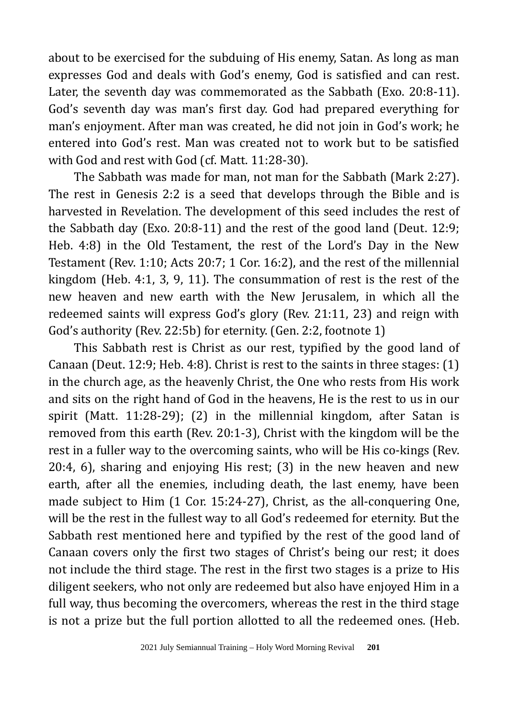about to be exercised for the subduing of His enemy, Satan. As long as man expresses God and deals with God's enemy, God is satisfied and can rest. Later, the seventh day was commemorated as the Sabbath (Exo. 20:8-11). God's seventh day was man's first day. God had prepared everything for man's enjoyment. After man was created, he did not join in God's work; he entered into God's rest. Man was created not to work but to be satisfied with God and rest with God (cf. Matt. 11:28-30).

The Sabbath was made for man, not man for the Sabbath (Mark 2:27). The rest in Genesis 2:2 is a seed that develops through the Bible and is harvested in Revelation. The development of this seed includes the rest of the Sabbath day (Exo. 20:8-11) and the rest of the good land (Deut. 12:9; Heb. 4:8) in the Old Testament, the rest of the Lord's Day in the New Testament (Rev. 1:10; Acts 20:7; 1 Cor. 16:2), and the rest of the millennial kingdom (Heb. 4:1, 3, 9, 11). The consummation of rest is the rest of the new heaven and new earth with the New Jerusalem, in which all the redeemed saints will express God's glory (Rev. 21:11, 23) and reign with God's authority (Rev. 22:5b) for eternity. (Gen. 2:2, footnote 1)

This Sabbath rest is Christ as our rest, typified by the good land of Canaan (Deut. 12:9; Heb. 4:8). Christ is rest to the saints in three stages: (1) in the church age, as the heavenly Christ, the One who rests from His work and sits on the right hand of God in the heavens, He is the rest to us in our spirit (Matt. 11:28-29); (2) in the millennial kingdom, after Satan is removed from this earth (Rev. 20:1-3), Christ with the kingdom will be the rest in a fuller way to the overcoming saints, who will be His co-kings (Rev. 20:4, 6), sharing and enjoying His rest; (3) in the new heaven and new earth, after all the enemies, including death, the last enemy, have been made subject to Him (1 Cor. 15:24-27), Christ, as the all-conquering One, will be the rest in the fullest way to all God's redeemed for eternity. But the Sabbath rest mentioned here and typified by the rest of the good land of Canaan covers only the first two stages of Christ's being our rest; it does not include the third stage. The rest in the first two stages is a prize to His diligent seekers, who not only are redeemed but also have enjoyed Him in a full way, thus becoming the overcomers, whereas the rest in the third stage is not a prize but the full portion allotted to all the redeemed ones. (Heb.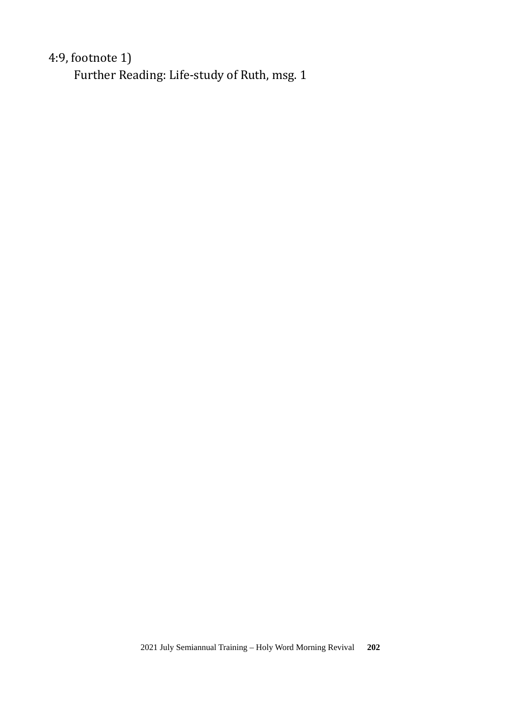### 4:9, footnote 1)

Further Reading: Life-study of Ruth, msg. 1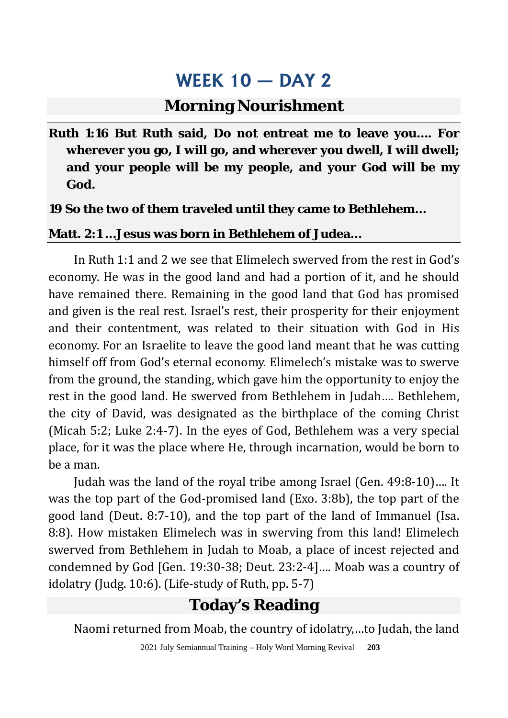### **Morning Nourishment**

**Ruth 1:16 But Ruth said, Do not entreat me to leave you…. For wherever you go, I will go, and wherever you dwell, I will dwell; and your people will be my people, and your God will be my God.** 

#### **19 So the two of them traveled until they came to Bethlehem…**

#### **Matt. 2:1 …Jesus was born in Bethlehem of Judea…**

In Ruth 1:1 and 2 we see that Elimelech swerved from the rest in God's economy. He was in the good land and had a portion of it, and he should have remained there. Remaining in the good land that God has promised and given is the real rest. Israel's rest, their prosperity for their enjoyment and their contentment, was related to their situation with God in His economy. For an Israelite to leave the good land meant that he was cutting himself off from God's eternal economy. Elimelech's mistake was to swerve from the ground, the standing, which gave him the opportunity to enjoy the rest in the good land. He swerved from Bethlehem in Judah…. Bethlehem, the city of David, was designated as the birthplace of the coming Christ (Micah 5:2; Luke 2:4-7). In the eyes of God, Bethlehem was a very special place, for it was the place where He, through incarnation, would be born to be a man.

Judah was the land of the royal tribe among Israel (Gen. 49:8-10)…. It was the top part of the God-promised land (Exo. 3:8b), the top part of the good land (Deut. 8:7-10), and the top part of the land of Immanuel (Isa. 8:8). How mistaken Elimelech was in swerving from this land! Elimelech swerved from Bethlehem in Judah to Moab, a place of incest rejected and condemned by God [Gen. 19:30-38; Deut. 23:2-4]…. Moab was a country of idolatry (Judg. 10:6). (Life-study of Ruth, pp. 5-7)

## **Today's Reading**

Naomi returned from Moab, the country of idolatry,…to Judah, the land

2021 July Semiannual Training – Holy Word Morning Revival **203**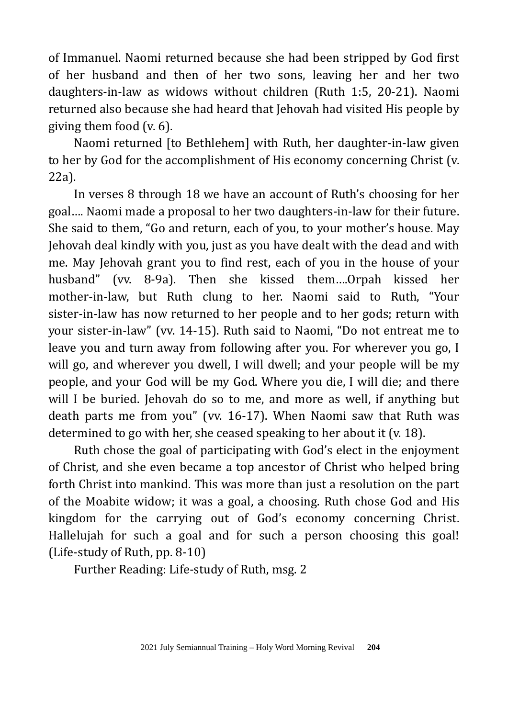of Immanuel. Naomi returned because she had been stripped by God first of her husband and then of her two sons, leaving her and her two daughters-in-law as widows without children (Ruth 1:5, 20-21). Naomi returned also because she had heard that Jehovah had visited His people by giving them food (v. 6).

Naomi returned [to Bethlehem] with Ruth, her daughter-in-law given to her by God for the accomplishment of His economy concerning Christ (v. 22a).

In verses 8 through 18 we have an account of Ruth's choosing for her goal…. Naomi made a proposal to her two daughters-in-law for their future. She said to them, "Go and return, each of you, to your mother's house. May Jehovah deal kindly with you, just as you have dealt with the dead and with me. May Jehovah grant you to find rest, each of you in the house of your husband" (vv. 8-9a). Then she kissed them….Orpah kissed her mother-in-law, but Ruth clung to her. Naomi said to Ruth, "Your sister-in-law has now returned to her people and to her gods; return with your sister-in-law" (vv. 14-15). Ruth said to Naomi, "Do not entreat me to leave you and turn away from following after you. For wherever you go, I will go, and wherever you dwell, I will dwell; and your people will be my people, and your God will be my God. Where you die, I will die; and there will I be buried. Jehovah do so to me, and more as well, if anything but death parts me from you" (vv. 16-17). When Naomi saw that Ruth was determined to go with her, she ceased speaking to her about it (v. 18).

Ruth chose the goal of participating with God's elect in the enjoyment of Christ, and she even became a top ancestor of Christ who helped bring forth Christ into mankind. This was more than just a resolution on the part of the Moabite widow; it was a goal, a choosing. Ruth chose God and His kingdom for the carrying out of God's economy concerning Christ. Hallelujah for such a goal and for such a person choosing this goal! (Life-study of Ruth, pp. 8-10)

Further Reading: Life-study of Ruth, msg. 2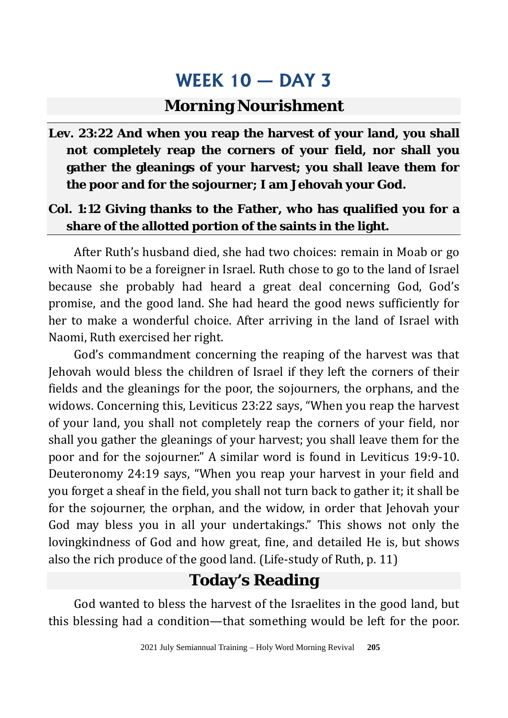### **Morning Nourishment**

**Lev. 23:22 And when you reap the harvest of your land, you shall not completely reap the corners of your field, nor shall you gather the gleanings of your harvest; you shall leave them for the poor and for the sojourner; I am Jehovah your God.**

#### **Col. 1:12 Giving thanks to the Father, who has qualified you for a share of the allotted portion of the saints in the light.**

After Ruth's husband died, she had two choices: remain in Moab or go with Naomi to be a foreigner in Israel. Ruth chose to go to the land of Israel because she probably had heard a great deal concerning God, God's promise, and the good land. She had heard the good news sufficiently for her to make a wonderful choice. After arriving in the land of Israel with Naomi, Ruth exercised her right.

God's commandment concerning the reaping of the harvest was that Jehovah would bless the children of Israel if they left the corners of their fields and the gleanings for the poor, the sojourners, the orphans, and the widows. Concerning this, Leviticus 23:22 says, "When you reap the harvest of your land, you shall not completely reap the corners of your field, nor shall you gather the gleanings of your harvest; you shall leave them for the poor and for the sojourner." A similar word is found in Leviticus 19:9-10. Deuteronomy 24:19 says, "When you reap your harvest in your field and you forget a sheaf in the field, you shall not turn back to gather it; it shall be for the sojourner, the orphan, and the widow, in order that Jehovah your God may bless you in all your undertakings." This shows not only the lovingkindness of God and how great, fine, and detailed He is, but shows also the rich produce of the good land. (Life-study of Ruth, p. 11)

# **Today's Reading**

God wanted to bless the harvest of the Israelites in the good land, but this blessing had a condition—that something would be left for the poor.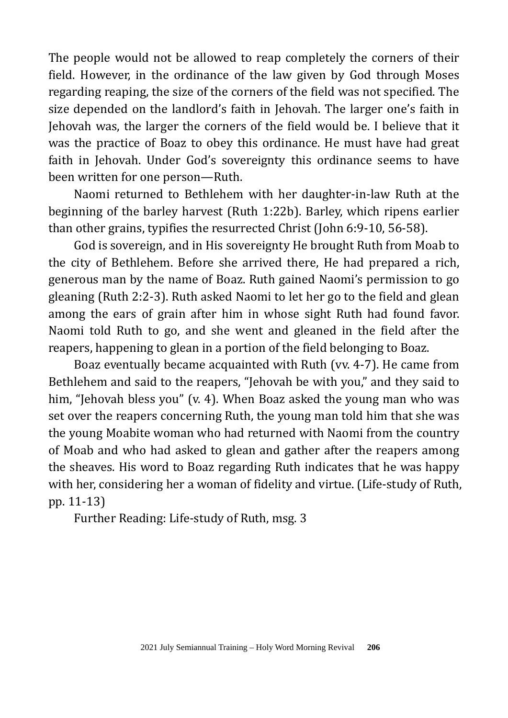The people would not be allowed to reap completely the corners of their field. However, in the ordinance of the law given by God through Moses regarding reaping, the size of the corners of the field was not specified. The size depended on the landlord's faith in Jehovah. The larger one's faith in Jehovah was, the larger the corners of the field would be. I believe that it was the practice of Boaz to obey this ordinance. He must have had great faith in Jehovah. Under God's sovereignty this ordinance seems to have been written for one person—Ruth.

Naomi returned to Bethlehem with her daughter-in-law Ruth at the beginning of the barley harvest (Ruth 1:22b). Barley, which ripens earlier than other grains, typifies the resurrected Christ (John 6:9-10, 56-58).

God is sovereign, and in His sovereignty He brought Ruth from Moab to the city of Bethlehem. Before she arrived there, He had prepared a rich, generous man by the name of Boaz. Ruth gained Naomi's permission to go gleaning (Ruth 2:2-3). Ruth asked Naomi to let her go to the field and glean among the ears of grain after him in whose sight Ruth had found favor. Naomi told Ruth to go, and she went and gleaned in the field after the reapers, happening to glean in a portion of the field belonging to Boaz.

Boaz eventually became acquainted with Ruth (vv. 4-7). He came from Bethlehem and said to the reapers, "Jehovah be with you," and they said to him, "Jehovah bless you" (v. 4). When Boaz asked the young man who was set over the reapers concerning Ruth, the young man told him that she was the young Moabite woman who had returned with Naomi from the country of Moab and who had asked to glean and gather after the reapers among the sheaves. His word to Boaz regarding Ruth indicates that he was happy with her, considering her a woman of fidelity and virtue. (Life-study of Ruth, pp. 11-13)

Further Reading: Life-study of Ruth, msg. 3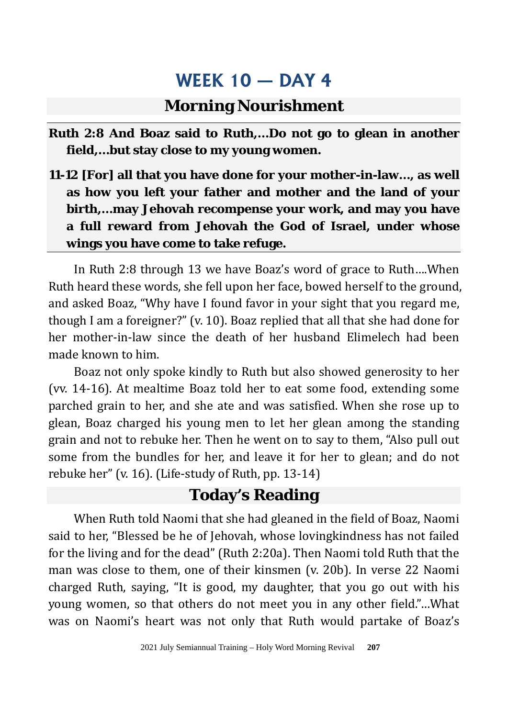### **Morning Nourishment**

- **Ruth 2:8 And Boaz said to Ruth,…Do not go to glean in another field,…but stay close to my young women.**
- **11-12 [For] all that you have done for your mother-in-law…, as well as how you left your father and mother and the land of your birth,…may Jehovah recompense your work, and may you have a full reward from Jehovah the God of Israel, under whose wings you have come to take refuge.**

In Ruth 2:8 through 13 we have Boaz's word of grace to Ruth….When Ruth heard these words, she fell upon her face, bowed herself to the ground, and asked Boaz, "Why have I found favor in your sight that you regard me, though I am a foreigner?" (v. 10). Boaz replied that all that she had done for her mother-in-law since the death of her husband Elimelech had been made known to him.

Boaz not only spoke kindly to Ruth but also showed generosity to her (vv. 14-16). At mealtime Boaz told her to eat some food, extending some parched grain to her, and she ate and was satisfied. When she rose up to glean, Boaz charged his young men to let her glean among the standing grain and not to rebuke her. Then he went on to say to them, "Also pull out some from the bundles for her, and leave it for her to glean; and do not rebuke her" (v. 16). (Life-study of Ruth, pp. 13-14)

### **Today's Reading**

When Ruth told Naomi that she had gleaned in the field of Boaz, Naomi said to her, "Blessed be he of Jehovah, whose lovingkindness has not failed for the living and for the dead" (Ruth 2:20a). Then Naomi told Ruth that the man was close to them, one of their kinsmen (v. 20b). In verse 22 Naomi charged Ruth, saying, "It is good, my daughter, that you go out with his young women, so that others do not meet you in any other field."…What was on Naomi's heart was not only that Ruth would partake of Boaz's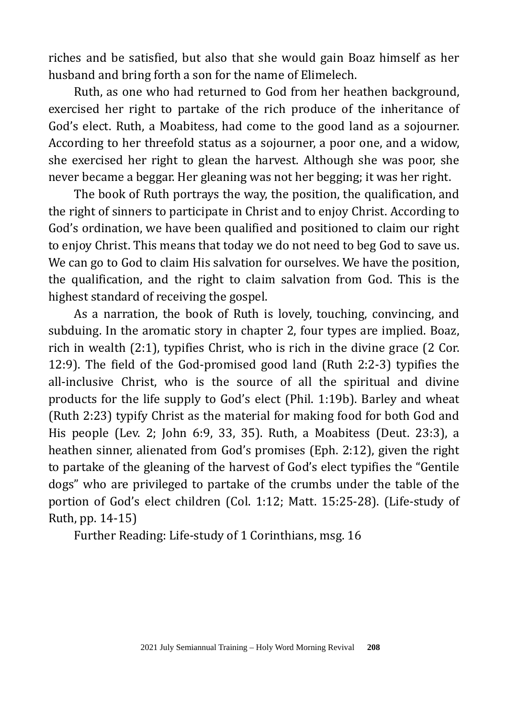riches and be satisfied, but also that she would gain Boaz himself as her husband and bring forth a son for the name of Elimelech.

Ruth, as one who had returned to God from her heathen background, exercised her right to partake of the rich produce of the inheritance of God's elect. Ruth, a Moabitess, had come to the good land as a sojourner. According to her threefold status as a sojourner, a poor one, and a widow, she exercised her right to glean the harvest. Although she was poor, she never became a beggar. Her gleaning was not her begging; it was her right.

The book of Ruth portrays the way, the position, the qualification, and the right of sinners to participate in Christ and to enjoy Christ. According to God's ordination, we have been qualified and positioned to claim our right to enjoy Christ. This means that today we do not need to beg God to save us. We can go to God to claim His salvation for ourselves. We have the position, the qualification, and the right to claim salvation from God. This is the highest standard of receiving the gospel.

As a narration, the book of Ruth is lovely, touching, convincing, and subduing. In the aromatic story in chapter 2, four types are implied. Boaz, rich in wealth (2:1), typifies Christ, who is rich in the divine grace (2 Cor. 12:9). The field of the God-promised good land (Ruth 2:2-3) typifies the all-inclusive Christ, who is the source of all the spiritual and divine products for the life supply to God's elect (Phil. 1:19b). Barley and wheat (Ruth 2:23) typify Christ as the material for making food for both God and His people (Lev. 2; John 6:9, 33, 35). Ruth, a Moabitess (Deut. 23:3), a heathen sinner, alienated from God's promises (Eph. 2:12), given the right to partake of the gleaning of the harvest of God's elect typifies the "Gentile dogs" who are privileged to partake of the crumbs under the table of the portion of God's elect children (Col. 1:12; Matt. 15:25-28). (Life-study of Ruth, pp. 14-15)

Further Reading: Life-study of 1 Corinthians, msg. 16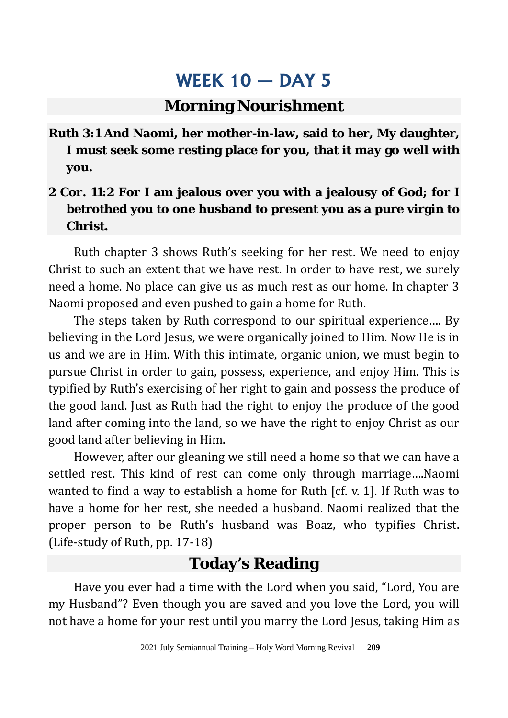### **Morning Nourishment**

**Ruth 3:1 And Naomi, her mother-in-law, said to her, My daughter, I must seek some resting place for you, that it may go well with you.** 

### **2 Cor. 11:2 For I am jealous over you with a jealousy of God; for I betrothed you to one husband to present you as a pure virgin to Christ.**

Ruth chapter 3 shows Ruth's seeking for her rest. We need to enjoy Christ to such an extent that we have rest. In order to have rest, we surely need a home. No place can give us as much rest as our home. In chapter 3 Naomi proposed and even pushed to gain a home for Ruth.

The steps taken by Ruth correspond to our spiritual experience…. By believing in the Lord Jesus, we were organically joined to Him. Now He is in us and we are in Him. With this intimate, organic union, we must begin to pursue Christ in order to gain, possess, experience, and enjoy Him. This is typified by Ruth's exercising of her right to gain and possess the produce of the good land. Just as Ruth had the right to enjoy the produce of the good land after coming into the land, so we have the right to enjoy Christ as our good land after believing in Him.

However, after our gleaning we still need a home so that we can have a settled rest. This kind of rest can come only through marriage….Naomi wanted to find a way to establish a home for Ruth [cf. v. 1]. If Ruth was to have a home for her rest, she needed a husband. Naomi realized that the proper person to be Ruth's husband was Boaz, who typifies Christ. (Life-study of Ruth, pp. 17-18)

## **Today's Reading**

Have you ever had a time with the Lord when you said, "Lord, You are my Husband"? Even though you are saved and you love the Lord, you will not have a home for your rest until you marry the Lord Jesus, taking Him as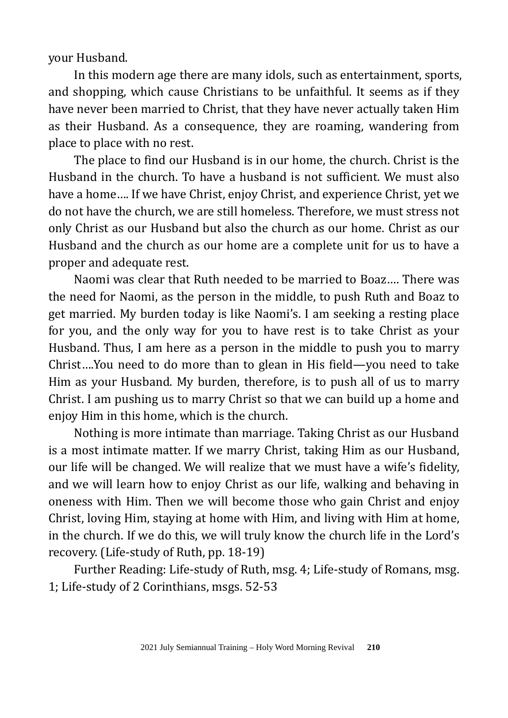your Husband.

In this modern age there are many idols, such as entertainment, sports, and shopping, which cause Christians to be unfaithful. It seems as if they have never been married to Christ, that they have never actually taken Him as their Husband. As a consequence, they are roaming, wandering from place to place with no rest.

The place to find our Husband is in our home, the church. Christ is the Husband in the church. To have a husband is not sufficient. We must also have a home…. If we have Christ, enjoy Christ, and experience Christ, yet we do not have the church, we are still homeless. Therefore, we must stress not only Christ as our Husband but also the church as our home. Christ as our Husband and the church as our home are a complete unit for us to have a proper and adequate rest.

Naomi was clear that Ruth needed to be married to Boaz…. There was the need for Naomi, as the person in the middle, to push Ruth and Boaz to get married. My burden today is like Naomi's. I am seeking a resting place for you, and the only way for you to have rest is to take Christ as your Husband. Thus, I am here as a person in the middle to push you to marry Christ….You need to do more than to glean in His field—you need to take Him as your Husband. My burden, therefore, is to push all of us to marry Christ. I am pushing us to marry Christ so that we can build up a home and enjoy Him in this home, which is the church.

Nothing is more intimate than marriage. Taking Christ as our Husband is a most intimate matter. If we marry Christ, taking Him as our Husband, our life will be changed. We will realize that we must have a wife's fidelity, and we will learn how to enjoy Christ as our life, walking and behaving in oneness with Him. Then we will become those who gain Christ and enjoy Christ, loving Him, staying at home with Him, and living with Him at home, in the church. If we do this, we will truly know the church life in the Lord's recovery. (Life-study of Ruth, pp. 18-19)

Further Reading: Life-study of Ruth, msg. 4; Life-study of Romans, msg. 1; Life-study of 2 Corinthians, msgs. 52-53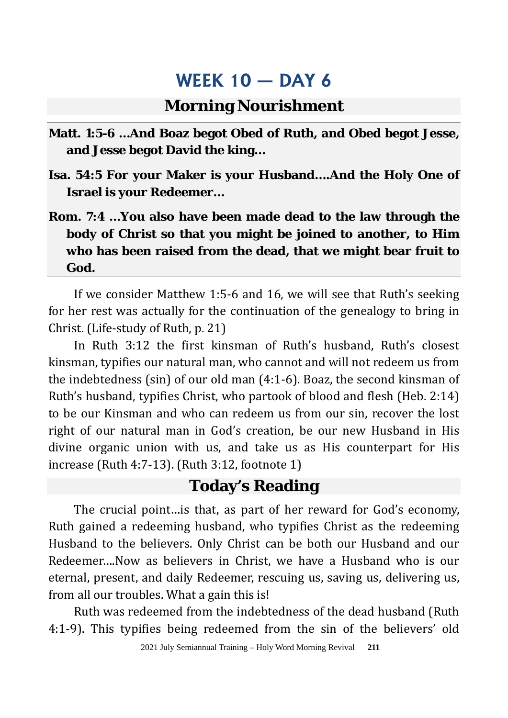## **Morning Nourishment**

- **Matt. 1:5-6 …And Boaz begot Obed of Ruth, and Obed begot Jesse, and Jesse begot David the king…**
- **Isa. 54:5 For your Maker is your Husband….And the Holy One of Israel is your Redeemer…**
- **Rom. 7:4 …You also have been made dead to the law through the body of Christ so that you might be joined to another, to Him who has been raised from the dead, that we might bear fruit to God.**

If we consider Matthew 1:5-6 and 16, we will see that Ruth's seeking for her rest was actually for the continuation of the genealogy to bring in Christ. (Life-study of Ruth, p. 21)

In Ruth 3:12 the first kinsman of Ruth's husband, Ruth's closest kinsman, typifies our natural man, who cannot and will not redeem us from the indebtedness (sin) of our old man (4:1-6). Boaz, the second kinsman of Ruth's husband, typifies Christ, who partook of blood and flesh (Heb. 2:14) to be our Kinsman and who can redeem us from our sin, recover the lost right of our natural man in God's creation, be our new Husband in His divine organic union with us, and take us as His counterpart for His increase (Ruth 4:7-13). (Ruth 3:12, footnote 1)

### **Today's Reading**

The crucial point…is that, as part of her reward for God's economy, Ruth gained a redeeming husband, who typifies Christ as the redeeming Husband to the believers. Only Christ can be both our Husband and our Redeemer….Now as believers in Christ, we have a Husband who is our eternal, present, and daily Redeemer, rescuing us, saving us, delivering us, from all our troubles. What a gain this is!

Ruth was redeemed from the indebtedness of the dead husband (Ruth 4:1-9). This typifies being redeemed from the sin of the believers' old

2021 July Semiannual Training – Holy Word Morning Revival **211**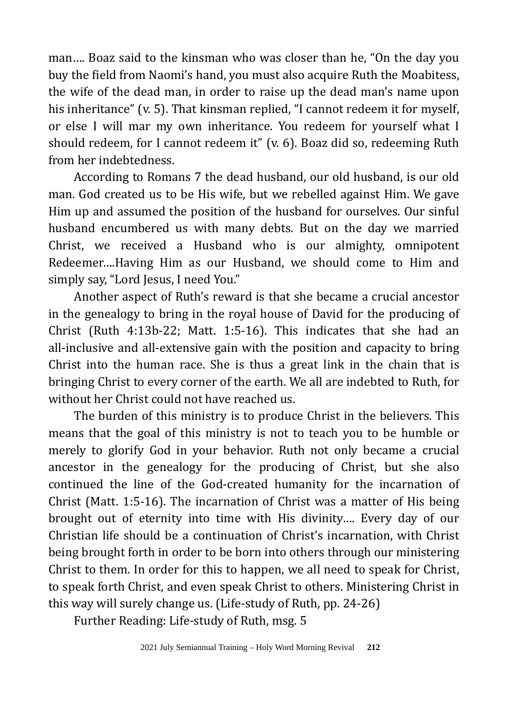man…. Boaz said to the kinsman who was closer than he, "On the day you buy the field from Naomi's hand, you must also acquire Ruth the Moabitess, the wife of the dead man, in order to raise up the dead man's name upon his inheritance" (v. 5). That kinsman replied, "I cannot redeem it for myself, or else I will mar my own inheritance. You redeem for yourself what I should redeem, for I cannot redeem it" (v. 6). Boaz did so, redeeming Ruth from her indebtedness.

According to Romans 7 the dead husband, our old husband, is our old man. God created us to be His wife, but we rebelled against Him. We gave Him up and assumed the position of the husband for ourselves. Our sinful husband encumbered us with many debts. But on the day we married Christ, we received a Husband who is our almighty, omnipotent Redeemer….Having Him as our Husband, we should come to Him and simply say, "Lord Jesus, I need You."

Another aspect of Ruth's reward is that she became a crucial ancestor in the genealogy to bring in the royal house of David for the producing of Christ (Ruth 4:13b-22; Matt. 1:5-16). This indicates that she had an all-inclusive and all-extensive gain with the position and capacity to bring Christ into the human race. She is thus a great link in the chain that is bringing Christ to every corner of the earth. We all are indebted to Ruth, for without her Christ could not have reached us.

The burden of this ministry is to produce Christ in the believers. This means that the goal of this ministry is not to teach you to be humble or merely to glorify God in your behavior. Ruth not only became a crucial ancestor in the genealogy for the producing of Christ, but she also continued the line of the God-created humanity for the incarnation of Christ (Matt. 1:5-16). The incarnation of Christ was a matter of His being brought out of eternity into time with His divinity…. Every day of our Christian life should be a continuation of Christ's incarnation, with Christ being brought forth in order to be born into others through our ministering Christ to them. In order for this to happen, we all need to speak for Christ, to speak forth Christ, and even speak Christ to others. Ministering Christ in this way will surely change us. (Life-study of Ruth, pp. 24-26)

Further Reading: Life-study of Ruth, msg. 5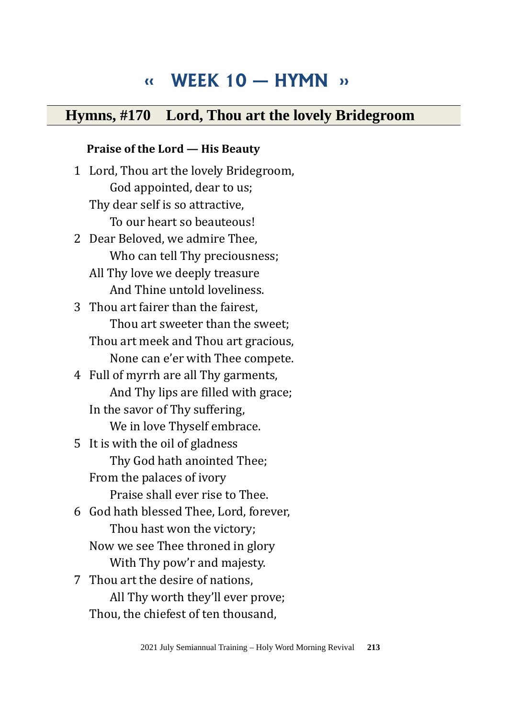# **‹‹ WEEK 10 — HYMN ››**

### **Hymns, #170 Lord, Thou art the lovely Bridegroom**

#### **Praise of the Lord — His Beauty**

1 Lord, Thou art the lovely Bridegroom, God appointed, dear to us; Thy dear self is so attractive, To our heart so beauteous! 2 Dear Beloved, we admire Thee, Who can tell Thy preciousness; All Thy love we deeply treasure And Thine untold loveliness. 3 Thou art fairer than the fairest, Thou art sweeter than the sweet; Thou art meek and Thou art gracious, None can e'er with Thee compete. 4 Full of myrrh are all Thy garments, And Thy lips are filled with grace; In the savor of Thy suffering, We in love Thyself embrace. 5 It is with the oil of gladness Thy God hath anointed Thee; From the palaces of ivory Praise shall ever rise to Thee. 6 God hath blessed Thee, Lord, forever, Thou hast won the victory; Now we see Thee throned in glory With Thy pow'r and majesty. 7 Thou art the desire of nations, All Thy worth they'll ever prove;

Thou, the chiefest of ten thousand,